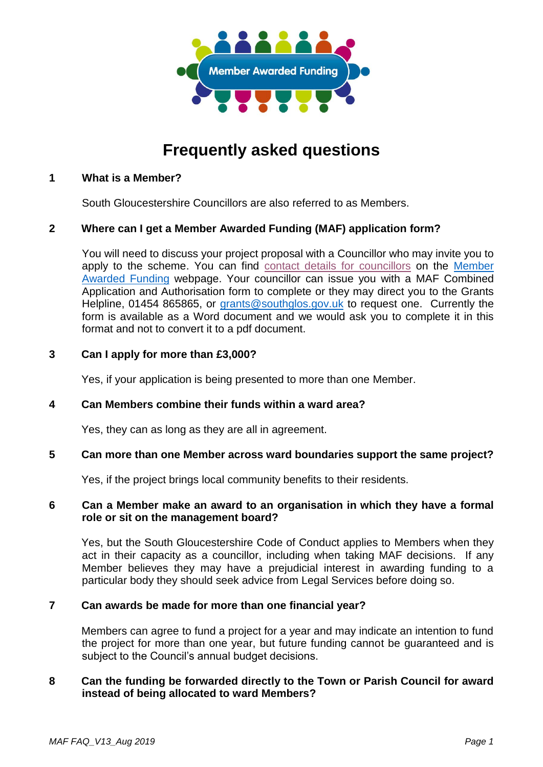

# **Frequently asked questions**

#### **1 What is a Member?**

South Gloucestershire Councillors are also referred to as Members.

#### **2 Where can I get a Member Awarded Funding (MAF) application form?**

You will need to discuss your project proposal with a Councillor who may invite you to apply to the scheme. You can find [contact details for councillors](https://council.southglos.gov.uk/mgMemberIndex.aspx) on the [Member](http://www.southglos.gov.uk/community-and-living/grants/community-grants/member-awarded-funding/)  [Awarded Funding](http://www.southglos.gov.uk/community-and-living/grants/community-grants/member-awarded-funding/) webpage. Your councillor can issue you with a MAF Combined Application and Authorisation form to complete or they may direct you to the Grants Helpline, 01454 865865, or [grants@southglos.gov.uk](mailto:grants@southglos.gov.uk) to request one. Currently the form is available as a Word document and we would ask you to complete it in this format and not to convert it to a pdf document.

#### **3 Can I apply for more than £3,000?**

Yes, if your application is being presented to more than one Member.

#### **4 Can Members combine their funds within a ward area?**

Yes, they can as long as they are all in agreement.

# **5 Can more than one Member across ward boundaries support the same project?**

Yes, if the project brings local community benefits to their residents.

#### **6 Can a Member make an award to an organisation in which they have a formal role or sit on the management board?**

Yes, but the South Gloucestershire Code of Conduct applies to Members when they act in their capacity as a councillor, including when taking MAF decisions. If any Member believes they may have a prejudicial interest in awarding funding to a particular body they should seek advice from Legal Services before doing so.

# **7 Can awards be made for more than one financial year?**

Members can agree to fund a project for a year and may indicate an intention to fund the project for more than one year, but future funding cannot be guaranteed and is subject to the Council's annual budget decisions.

# **8 Can the funding be forwarded directly to the Town or Parish Council for award instead of being allocated to ward Members?**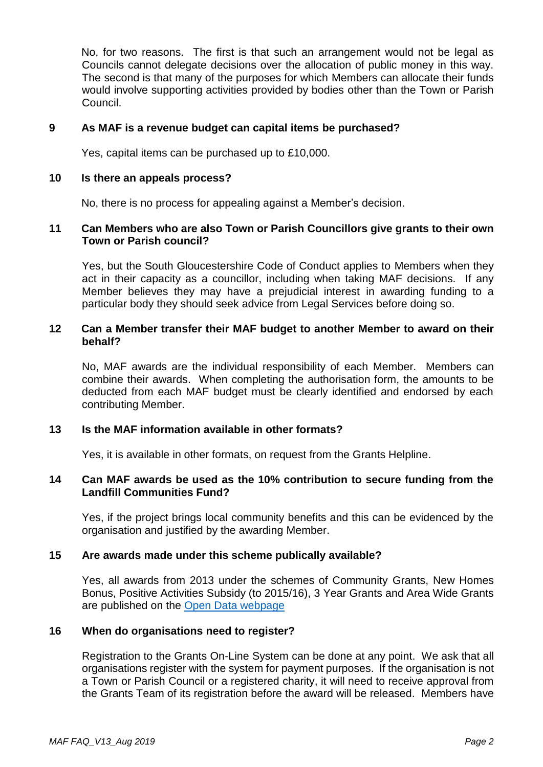No, for two reasons. The first is that such an arrangement would not be legal as Councils cannot delegate decisions over the allocation of public money in this way. The second is that many of the purposes for which Members can allocate their funds would involve supporting activities provided by bodies other than the Town or Parish Council.

#### **9 As MAF is a revenue budget can capital items be purchased?**

Yes, capital items can be purchased up to £10,000.

## **10 Is there an appeals process?**

No, there is no process for appealing against a Member's decision.

#### **11 Can Members who are also Town or Parish Councillors give grants to their own Town or Parish council?**

Yes, but the South Gloucestershire Code of Conduct applies to Members when they act in their capacity as a councillor, including when taking MAF decisions. If any Member believes they may have a prejudicial interest in awarding funding to a particular body they should seek advice from Legal Services before doing so.

# **12 Can a Member transfer their MAF budget to another Member to award on their behalf?**

No, MAF awards are the individual responsibility of each Member. Members can combine their awards. When completing the authorisation form, the amounts to be deducted from each MAF budget must be clearly identified and endorsed by each contributing Member.

# **13 Is the MAF information available in other formats?**

Yes, it is available in other formats, on request from the Grants Helpline.

# **14 Can MAF awards be used as the 10% contribution to secure funding from the Landfill Communities Fund?**

Yes, if the project brings local community benefits and this can be evidenced by the organisation and justified by the awarding Member.

# **15 Are awards made under this scheme publically available?**

Yes, all awards from 2013 under the schemes of Community Grants, New Homes Bonus, Positive Activities Subsidy (to 2015/16), 3 Year Grants and Area Wide Grants are published on the [Open Data webpage](http://www.southglos.gov.uk/council-and-democracy/news-and-information-releases/open-data/)

#### **16 When do organisations need to register?**

Registration to the Grants On-Line System can be done at any point. We ask that all organisations register with the system for payment purposes. If the organisation is not a Town or Parish Council or a registered charity, it will need to receive approval from the Grants Team of its registration before the award will be released. Members have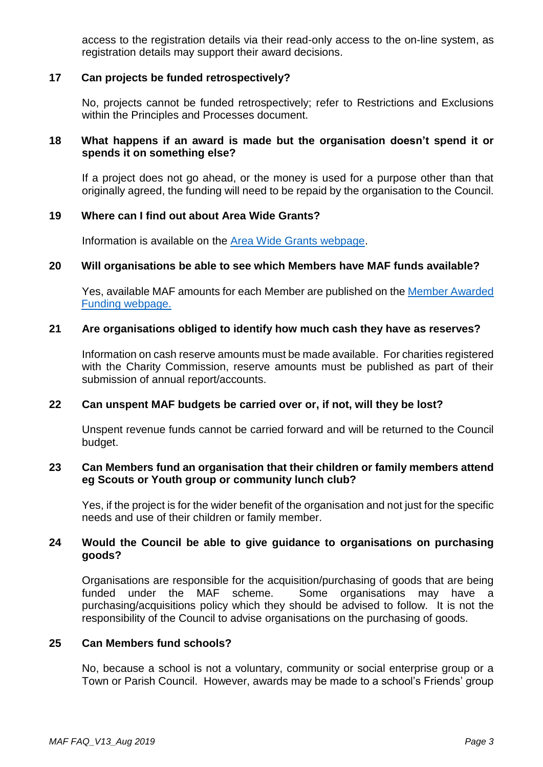access to the registration details via their read-only access to the on-line system, as registration details may support their award decisions.

# **17 Can projects be funded retrospectively?**

No, projects cannot be funded retrospectively; refer to Restrictions and Exclusions within the Principles and Processes document.

# **18 What happens if an award is made but the organisation doesn't spend it or spends it on something else?**

If a project does not go ahead, or the money is used for a purpose other than that originally agreed, the funding will need to be repaid by the organisation to the Council.

#### **19 Where can I find out about Area Wide Grants?**

Information is available on the [Area Wide Grants webpage.](http://www.southglos.gov.uk/community-and-living/grants/community-grants/draft-area-wide-grants/)

#### **20 Will organisations be able to see which Members have MAF funds available?**

Yes, available MAF amounts for each Member are published on the [Member Awarded](http://www.southglos.gov.uk/maf)  [Funding webpage.](http://www.southglos.gov.uk/maf)

#### **21 Are organisations obliged to identify how much cash they have as reserves?**

Information on cash reserve amounts must be made available. For charities registered with the Charity Commission, reserve amounts must be published as part of their submission of annual report/accounts.

# **22 Can unspent MAF budgets be carried over or, if not, will they be lost?**

Unspent revenue funds cannot be carried forward and will be returned to the Council budget.

#### **23 Can Members fund an organisation that their children or family members attend eg Scouts or Youth group or community lunch club?**

Yes, if the project is for the wider benefit of the organisation and not just for the specific needs and use of their children or family member.

#### **24 Would the Council be able to give guidance to organisations on purchasing goods?**

Organisations are responsible for the acquisition/purchasing of goods that are being funded under the MAF scheme. Some organisations may have a purchasing/acquisitions policy which they should be advised to follow. It is not the responsibility of the Council to advise organisations on the purchasing of goods.

# **25 Can Members fund schools?**

No, because a school is not a voluntary, community or social enterprise group or a Town or Parish Council. However, awards may be made to a school's Friends' group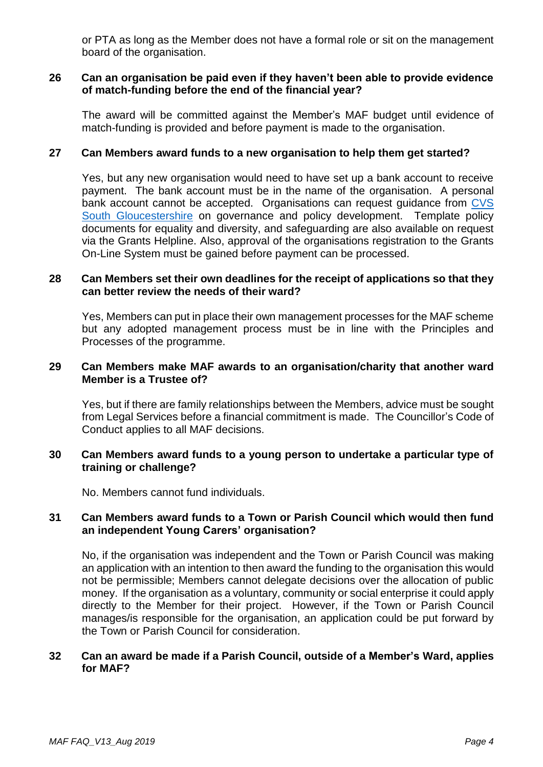or PTA as long as the Member does not have a formal role or sit on the management board of the organisation.

## **26 Can an organisation be paid even if they haven't been able to provide evidence of match-funding before the end of the financial year?**

The award will be committed against the Member's MAF budget until evidence of match-funding is provided and before payment is made to the organisation.

## **27 Can Members award funds to a new organisation to help them get started?**

Yes, but any new organisation would need to have set up a bank account to receive payment. The bank account must be in the name of the organisation. A personal bank account cannot be accepted. Organisations can request guidance from CVS [South Gloucestershire](https://www.cvs-sg.org.uk/Pages/Contact.aspx) on governance and policy development. Template policy documents for equality and diversity, and safeguarding are also available on request via the Grants Helpline. Also, approval of the organisations registration to the Grants On-Line System must be gained before payment can be processed.

#### **28 Can Members set their own deadlines for the receipt of applications so that they can better review the needs of their ward?**

Yes, Members can put in place their own management processes for the MAF scheme but any adopted management process must be in line with the Principles and Processes of the programme.

#### **29 Can Members make MAF awards to an organisation/charity that another ward Member is a Trustee of?**

Yes, but if there are family relationships between the Members, advice must be sought from Legal Services before a financial commitment is made. The Councillor's Code of Conduct applies to all MAF decisions.

# **30 Can Members award funds to a young person to undertake a particular type of training or challenge?**

No. Members cannot fund individuals.

# **31 Can Members award funds to a Town or Parish Council which would then fund an independent Young Carers' organisation?**

No, if the organisation was independent and the Town or Parish Council was making an application with an intention to then award the funding to the organisation this would not be permissible; Members cannot delegate decisions over the allocation of public money. If the organisation as a voluntary, community or social enterprise it could apply directly to the Member for their project. However, if the Town or Parish Council manages/is responsible for the organisation, an application could be put forward by the Town or Parish Council for consideration.

#### **32 Can an award be made if a Parish Council, outside of a Member's Ward, applies for MAF?**